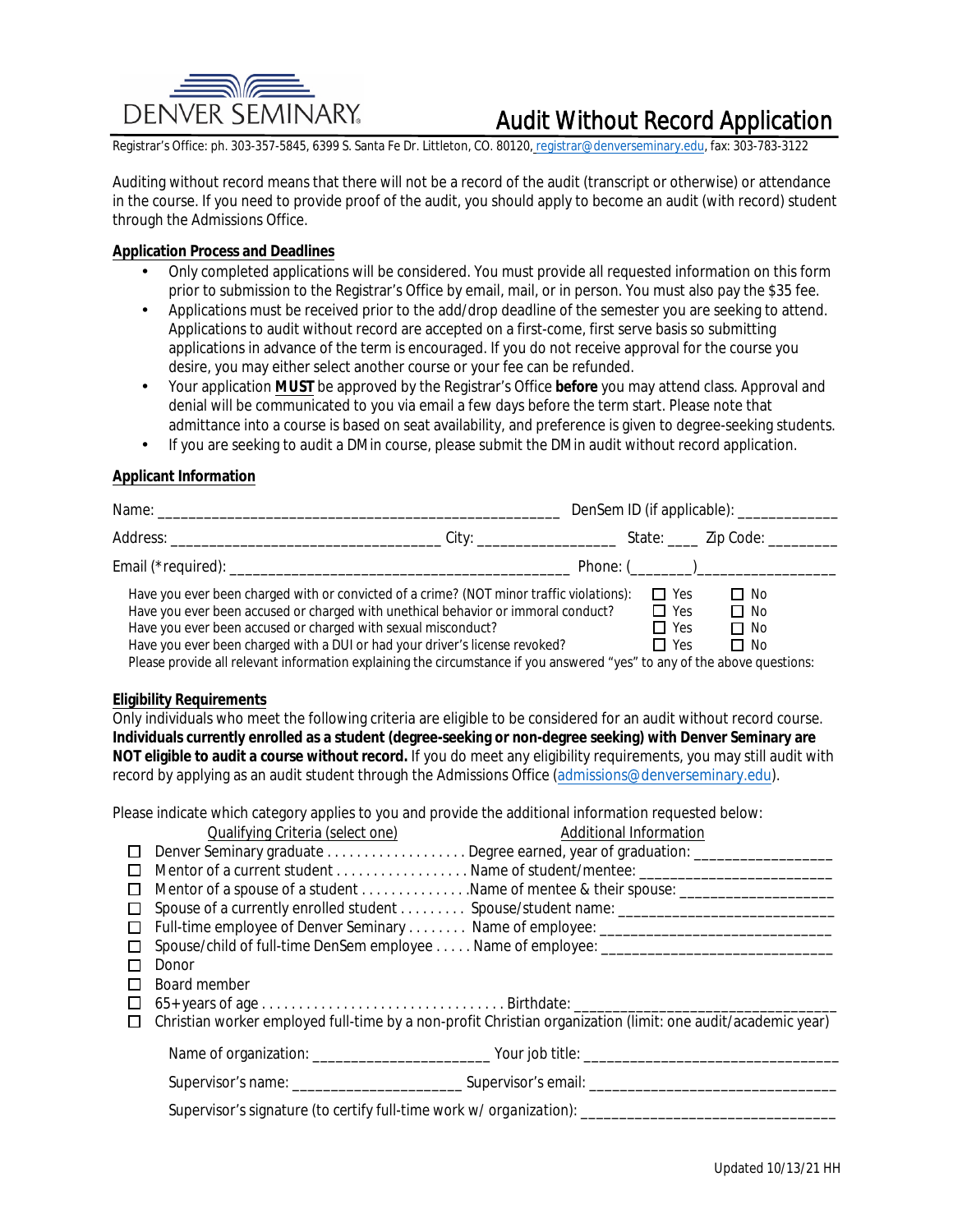

# **Audit Without Record Application**

Registrar's Office: ph. 303-357-5845, 6399 S. Santa Fe Dr. Littleton, CO. 80120, registrar@denverseminary.edu, fax: 303-783-3122

Auditing without record means that there will not be a record of the audit (transcript or otherwise) or attendance in the course. If you need to provide proof of the audit, you should apply to become an audit (with record) student through the Admissions Office.

### **Application Process and Deadlines**

- Only completed applications will be considered. You must provide all requested information on this form prior to submission to the Registrar's Office by email, mail, or in person. You must also pay the \$35 fee.
- Applications must be received prior to the add/drop deadline of the semester you are seeking to attend.  $\bullet$ Applications to audit without record are accepted on a first-come, first serve basis so submitting applications in advance of the term is encouraged. If you do not receive approval for the course you desire, you may either select another course or your fee can be refunded.
- Your application MUST be approved by the Registrar's Office *before* you may attend class. Approval and  $\bullet$ denial will be communicated to you via email a few days before the term start. Please note that admittance into a course is based on seat availability, and preference is given to degree-seeking students.
- If you are seeking to audit a DMin course, please submit the DMin audit without record application.  $\bullet$

### **Applicant Information**

| DenSem ID (if applicable): ______________ |                                                                                          |
|-------------------------------------------|------------------------------------------------------------------------------------------|
|                                           |                                                                                          |
|                                           | Phone: $(\_ \_ \_ \_ \_ \_ \_ \_ \_ \_ \_ \_ \_ \_ \_ \_ \_$                             |
| $\Box$ Yes                                | $\Box$ No                                                                                |
| $\Box$ Yes                                | $\Box$ No                                                                                |
| $\Box$ Yes                                | $\Box$ No                                                                                |
| $\Box$ Yes                                | $\square$ No                                                                             |
|                                           | Have you ever been charged with or convicted of a crime? (NOT minor traffic violations): |

Please provide all relevant information explaining the circumstance if you answered "yes" to any of the above questions:

#### **Eligibility Requirements**

Only individuals who meet the following criteria are eligible to be considered for an audit without record course. Individuals currently enrolled as a student (degree-seeking or non-degree seeking) with Denver Seminary are NOT eligible to audit a course without record. If you do meet any eligibility requirements, you may still audit with record by applying as an audit student through the Admissions Office (admissions@denverseminary.edu).

Please indicate which category applies to you and provide the additional information requested below:

|         | Qualifying Criteria (select one)                                                           | <b>Additional Information</b>                                                                               |  |  |  |
|---------|--------------------------------------------------------------------------------------------|-------------------------------------------------------------------------------------------------------------|--|--|--|
|         |                                                                                            | Denver Seminary graduate Degree earned, year of graduation: ______________                                  |  |  |  |
|         |                                                                                            |                                                                                                             |  |  |  |
|         |                                                                                            | Mentor of a spouse of a student Name of mentee & their spouse: _____________________                        |  |  |  |
| □       |                                                                                            | Spouse of a currently enrolled student  Spouse/student name: ______________________________                 |  |  |  |
| $\perp$ |                                                                                            |                                                                                                             |  |  |  |
|         | Spouse/child of full-time DenSem employee Name of employee: ______________________________ |                                                                                                             |  |  |  |
|         | <b>Donor</b>                                                                               |                                                                                                             |  |  |  |
|         | <b>Board member</b>                                                                        |                                                                                                             |  |  |  |
| ப       |                                                                                            |                                                                                                             |  |  |  |
| $\Box$  |                                                                                            | Christian worker employed full-time by a non-profit Christian organization (limit: one audit/academic year) |  |  |  |
|         |                                                                                            |                                                                                                             |  |  |  |
|         |                                                                                            |                                                                                                             |  |  |  |
|         |                                                                                            |                                                                                                             |  |  |  |

Supervisor's signature (to certify full-time work  $w/$  organization):